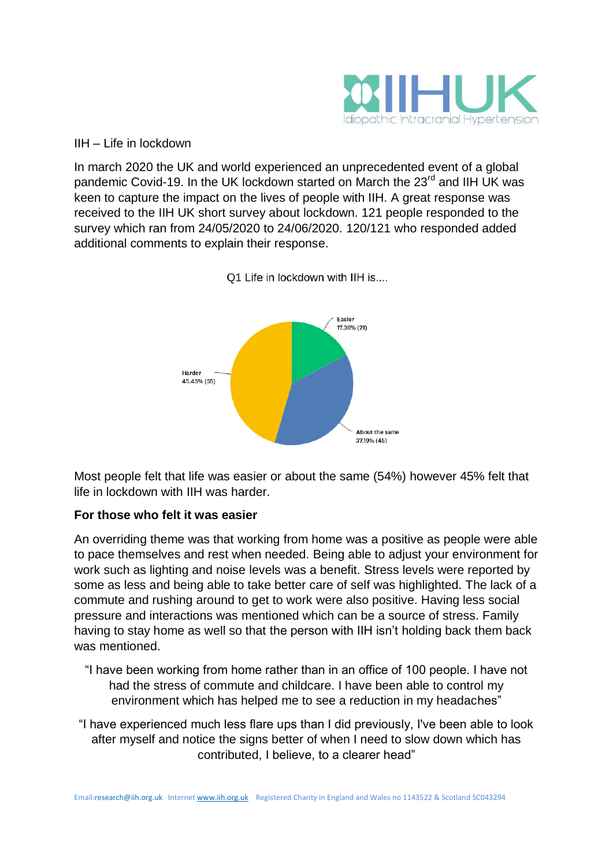

IIH – Life in lockdown

In march 2020 the UK and world experienced an unprecedented event of a global pandemic Covid-19. In the UK lockdown started on March the 23<sup>rd</sup> and IIH UK was keen to capture the impact on the lives of people with IIH. A great response was received to the IIH UK short survey about lockdown. 121 people responded to the survey which ran from 24/05/2020 to 24/06/2020. 120/121 who responded added additional comments to explain their response.



Q1 Life in lockdown with IIH is....

Most people felt that life was easier or about the same (54%) however 45% felt that life in lockdown with IIH was harder.

## **For those who felt it was easier**

An overriding theme was that working from home was a positive as people were able to pace themselves and rest when needed. Being able to adjust your environment for work such as lighting and noise levels was a benefit. Stress levels were reported by some as less and being able to take better care of self was highlighted. The lack of a commute and rushing around to get to work were also positive. Having less social pressure and interactions was mentioned which can be a source of stress. Family having to stay home as well so that the person with IIH isn't holding back them back was mentioned.

- "I have been working from home rather than in an office of 100 people. I have not had the stress of commute and childcare. I have been able to control my environment which has helped me to see a reduction in my headaches"
- "I have experienced much less flare ups than I did previously, I've been able to look after myself and notice the signs better of when I need to slow down which has contributed, I believe, to a clearer head"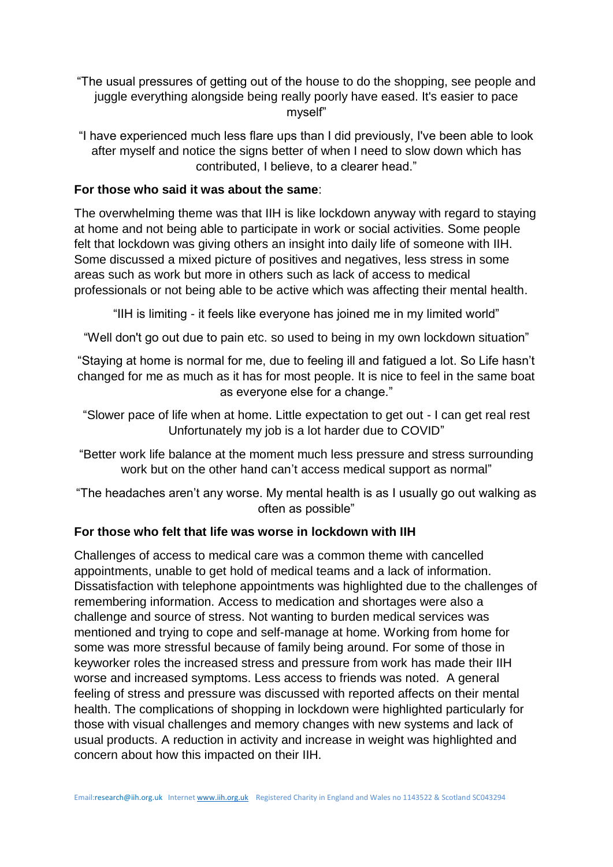"The usual pressures of getting out of the house to do the shopping, see people and juggle everything alongside being really poorly have eased. It's easier to pace myself"

"I have experienced much less flare ups than I did previously, I've been able to look after myself and notice the signs better of when I need to slow down which has contributed, I believe, to a clearer head."

## **For those who said it was about the same**:

The overwhelming theme was that IIH is like lockdown anyway with regard to staying at home and not being able to participate in work or social activities. Some people felt that lockdown was giving others an insight into daily life of someone with IIH. Some discussed a mixed picture of positives and negatives, less stress in some areas such as work but more in others such as lack of access to medical professionals or not being able to be active which was affecting their mental health.

"IIH is limiting - it feels like everyone has joined me in my limited world"

"Well don't go out due to pain etc. so used to being in my own lockdown situation"

"Staying at home is normal for me, due to feeling ill and fatigued a lot. So Life hasn't changed for me as much as it has for most people. It is nice to feel in the same boat as everyone else for a change."

"Slower pace of life when at home. Little expectation to get out - I can get real rest Unfortunately my job is a lot harder due to COVID"

- "Better work life balance at the moment much less pressure and stress surrounding work but on the other hand can't access medical support as normal"
- "The headaches aren't any worse. My mental health is as I usually go out walking as often as possible"

## **For those who felt that life was worse in lockdown with IIH**

Challenges of access to medical care was a common theme with cancelled appointments, unable to get hold of medical teams and a lack of information. Dissatisfaction with telephone appointments was highlighted due to the challenges of remembering information. Access to medication and shortages were also a challenge and source of stress. Not wanting to burden medical services was mentioned and trying to cope and self-manage at home. Working from home for some was more stressful because of family being around. For some of those in keyworker roles the increased stress and pressure from work has made their IIH worse and increased symptoms. Less access to friends was noted. A general feeling of stress and pressure was discussed with reported affects on their mental health. The complications of shopping in lockdown were highlighted particularly for those with visual challenges and memory changes with new systems and lack of usual products. A reduction in activity and increase in weight was highlighted and concern about how this impacted on their IIH.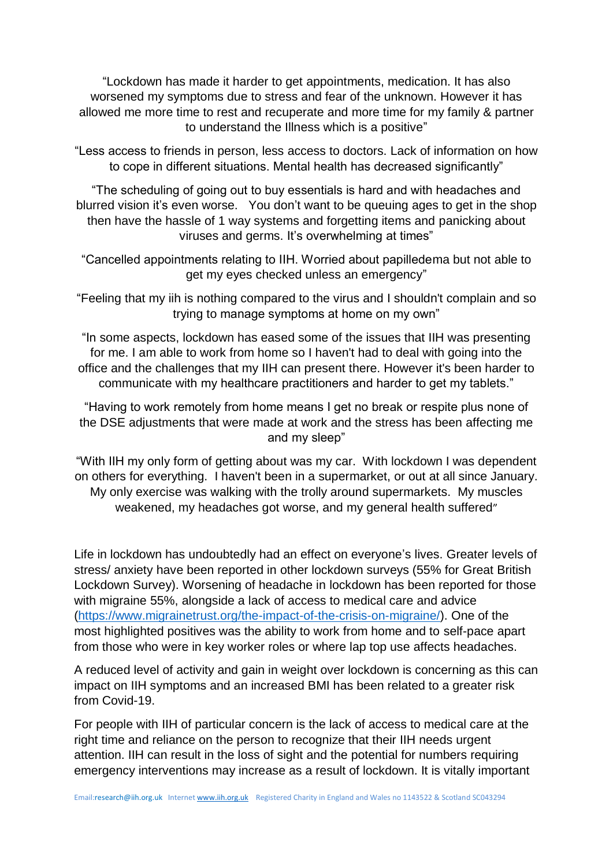"Lockdown has made it harder to get appointments, medication. It has also worsened my symptoms due to stress and fear of the unknown. However it has allowed me more time to rest and recuperate and more time for my family & partner to understand the Illness which is a positive"

"Less access to friends in person, less access to doctors. Lack of information on how to cope in different situations. Mental health has decreased significantly"

"The scheduling of going out to buy essentials is hard and with headaches and blurred vision it's even worse. You don't want to be queuing ages to get in the shop then have the hassle of 1 way systems and forgetting items and panicking about viruses and germs. It's overwhelming at times"

"Cancelled appointments relating to IIH. Worried about papilledema but not able to get my eyes checked unless an emergency"

"Feeling that my iih is nothing compared to the virus and I shouldn't complain and so trying to manage symptoms at home on my own"

"In some aspects, lockdown has eased some of the issues that IIH was presenting for me. I am able to work from home so I haven't had to deal with going into the office and the challenges that my IIH can present there. However it's been harder to communicate with my healthcare practitioners and harder to get my tablets."

"Having to work remotely from home means I get no break or respite plus none of the DSE adjustments that were made at work and the stress has been affecting me and my sleep"

"With IIH my only form of getting about was my car. With lockdown I was dependent on others for everything. I haven't been in a supermarket, or out at all since January. My only exercise was walking with the trolly around supermarkets. My muscles weakened, my headaches got worse, and my general health suffered"

Life in lockdown has undoubtedly had an effect on everyone's lives. Greater levels of stress/ anxiety have been reported in other lockdown surveys (55% for Great British Lockdown Survey). Worsening of headache in lockdown has been reported for those with migraine 55%, alongside a lack of access to medical care and advice [\(https://www.migrainetrust.org/the-impact-of-the-crisis-on-migraine/\)](https://www.migrainetrust.org/the-impact-of-the-crisis-on-migraine/). One of the most highlighted positives was the ability to work from home and to self-pace apart from those who were in key worker roles or where lap top use affects headaches.

A reduced level of activity and gain in weight over lockdown is concerning as this can impact on IIH symptoms and an increased BMI has been related to a greater risk from Covid-19.

For people with IIH of particular concern is the lack of access to medical care at the right time and reliance on the person to recognize that their IIH needs urgent attention. IIH can result in the loss of sight and the potential for numbers requiring emergency interventions may increase as a result of lockdown. It is vitally important